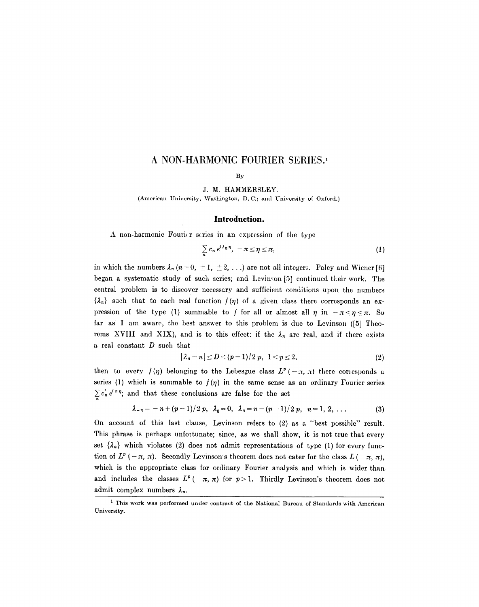# **A NON-HARMONIC FOURIER SERIES. 1**

#### By

J. M. HAMMERSLEY. (American University, Washington, D. C:; and University of Oxford.)

#### **Introduction.**

A non-harmonic Fourier scries in an expression of the type

$$
\sum_{n} c_n e^{i\lambda_n \eta}, \quad -\pi \leq \eta \leq \pi,
$$
 (1)

in which the numbers  $\lambda_n$  (n = 0,  $\pm 1, \pm 2, \ldots$ ) are not all integers. Paley and Wiener [6] began a systematic study of such series; and Levinson  $[5]$  continued their work. The central problem is to discover necessary and sufficient conditions upon the numbers  $\{\lambda_{n}\}\$  such that to each real function  $f(\eta)$  of a given class there corresponds an expression of the type (1) summable to f for all or almost all  $\eta$  in  $-\pi \leq \eta \leq \pi$ . So far as I am aware, the best answer to this problem is due to Levinson ( $[5]$  Theorems XVIII and XIX), and is to this effect: if the  $\lambda_n$  are real, and if there exists a real constant D such that

$$
|\lambda_n - n| \le D < (p-1)/2 \ p, \ 1 < p \le 2,\tag{2}
$$

then to every  $f(\eta)$  belonging to the Lebesgue class  $L^p(-\pi, \pi)$  there corresponds a series (1) which is summable to  $f(\eta)$  in the same sense as an ordinary Fourier series  $\sum_{n} c'_n e^{i n \eta}$ ; and that these conclusions are false for the set

$$
\lambda_{-n}=-n+(p-1)/2 p, \ \lambda_0=0, \ \lambda_n=n-(p-1)/2 p, \ n=1, 2, ... \qquad (3)
$$

On account of this last clause, Levinson refers to (2) as a "best possible" result. This phrase is perhaps unfortunate; since, as we shall show, it is not true that every set  $\{\lambda_n\}$  which violates (2) does not admit representations of type (1) for every function of  $L^p$  ( $-\pi$ ,  $\pi$ ). Secondly Levinson's theorem does not cater for the class  $L$  ( $-\pi$ ,  $\pi$ ), which is the appropriate class for ordinary Fourier analysis and which is wider than and includes the classes  $L^p(-\pi, \pi)$  for  $p > 1$ . Thirdly Levinson's theorem does not admit complex numbers  $\lambda_n$ .

<sup>&</sup>lt;sup>1</sup> This work was performed under contract of the National Bureau of Standards with American University.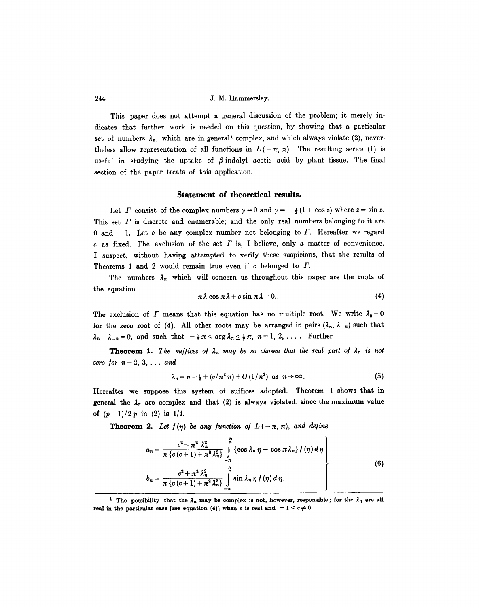This paper does not attempt a general discussion of the problem; it merely indicates that further work is needed on this question, by showing that a particular set of numbers  $\lambda_n$ , which are in general<sup>1</sup> complex, and which always violate (2), neverthe less allow representation of all functions in  $L(-\pi, \pi)$ . The resulting series (1) is useful in studying the uptake of  $\beta$ -indolyl acetic acid by plant tissue. The final section of the paper treats of this application.

### **Statement of theoretical results.**

Let  $\Gamma$  consist of the complex numbers  $\gamma = 0$  and  $\gamma = -\frac{1}{2}(1 + \cos z)$  where  $z = \sin z$ . This set  $\Gamma$  is discrete and enumerable; and the only real numbers belonging to it are 0 and  $-1$ . Let c be any complex number not belonging to  $\Gamma$ . Hereafter we regard  $c$  as fixed. The exclusion of the set  $\Gamma$  is, I believe, only a matter of convenience. I suspect, without having attempted to verify these suspicions, that the results of Theorems 1 and 2 would remain true even if c belonged to  $\Gamma$ .

The numbers  $\lambda_n$  which will concern us throughout this paper are the roots of the equation

$$
\pi\lambda\cos\pi\lambda+c\sin\pi\lambda=0.\tag{4}
$$

The exclusion of  $\Gamma$  means that this equation has no multiple root. We write  $\lambda_0 = 0$ for the zero root of (4). All other roots may be arranged in pairs  $(\lambda_n, \lambda_{-n})$  such that  $\lambda_n+\lambda_{-n}=0$ , and such that  $-\frac{1}{2}\pi < \arg \lambda_n \leq \frac{1}{2}\pi$ ,  $n=1, 2, \ldots$ . Further

**Theorem 1.** The suffices of  $\lambda_n$  may be so chosen that the real part of  $\lambda_n$  is not *zero for*  $n = 2, 3, \ldots$  and

$$
\lambda_n = n - \frac{1}{2} + (c/\pi^2 n) + O(1/n^2) \text{ as } n \to \infty. \tag{5}
$$

Hereafter we suppose this system of suffices adopted. Theorem 1 shows that in general the  $\lambda_n$  are complex and that (2) is always violated, since the maximum value of  $(p-1)/2 p$  in (2) is 1/4.

**Theorem 2.** Let  $f(\eta)$  be any function of  $L(-\pi, \pi)$ , and define

$$
a_n = \frac{c^2 + \pi^2 \lambda_n^2}{\pi \{c(c+1) + \pi^2 \lambda_n^2\}} \int_{-\pi}^{\pi} \{\cos \lambda_n \eta - \cos \pi \lambda_n\} f(\eta) d\eta
$$
  

$$
b_n = \frac{c^2 + \pi^2 \lambda_n^2}{\pi \{c(c+1) + \pi^2 \lambda_n^2\}} \int_{-\pi}^{\pi} \sin \lambda_n \eta f(\eta) d\eta.
$$
 (6)

<sup>&</sup>lt;sup>1</sup> The possibility that the  $\lambda_n$  may be complex is not, however, responsible; for the  $\lambda_n$  are all real in the particular case [see equation (4)] when c is real and  $-1 < c \neq 0$ .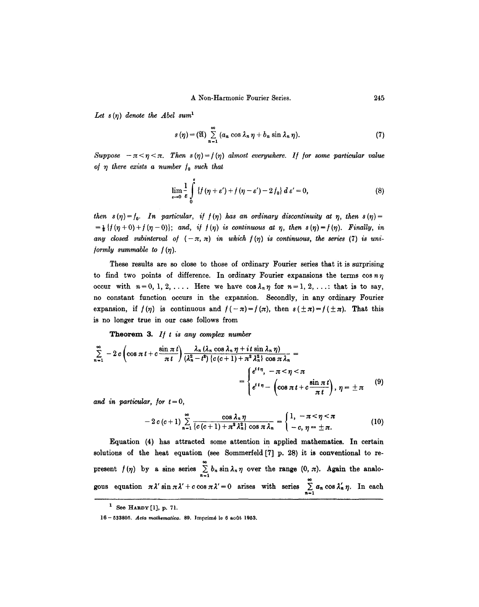Let  $s(\eta)$  denote the Abel sum<sup>1</sup>

$$
s(\eta) = (\mathfrak{A}) \sum_{n=1}^{\infty} (a_n \cos \lambda_n \eta + b_n \sin \lambda_n \eta).
$$
 (7)

*Suppose*  $-\pi < \eta < \pi$ *. Then s*  $(\eta) = f(\eta)$  almost everywhere. If for some particular value *ot 7 there exists a number 1o such that* 

$$
\lim_{\varepsilon\to 0}\frac{1}{\varepsilon}\int\limits_{0}^{\varepsilon}\left\{f\left(\eta+\varepsilon'\right)+f\left(\eta-\varepsilon'\right)-2\,f_{0}\right\}d\,\varepsilon'=0,\tag{8}
$$

*then*  $s(\eta) = f_0$ . *In particular, if*  $f(\eta)$  *has an ordinary discontinuity at*  $\eta$ *, then*  $s(\eta) =$  $=\frac{1}{2} \{f(\eta+0)+f(\eta-0)\};$  and, if  $f(\eta)$  is continuous at  $\eta$ , then  $s(\eta)=f(\eta)$ . Finally, in *any closed subinterval of*  $(-\pi, \pi)$  *in which*  $f(\eta)$  *is continuous, the series* (7) *is uni-<i>formly summable to*  $f(\eta)$ *.* 

These results are so close to those of ordinary Fourier series that it is surprising to find two points of difference. In ordinary Fourier expansions the terms  $\cos n \eta$ occur with  $n=0, 1, 2, \ldots$ . Here we have  $\cos \lambda_n \eta$  for  $n=1, 2, \ldots$ ; that is to say, no constant function occurs in the expansion. Secondly, in any ordinary Fourier expansion, if  $f(\eta)$  is continuous and  $f(-\pi) = f(\pi)$ , then  $s(\pm \pi) = f(\pm \pi)$ . That this is no longer true in our case follows from

**Theorem** 3. *I/ t is any complex number* 

$$
\sum_{n=1}^{\infty} -2c \left( \cos \pi t + c \frac{\sin \pi t}{\pi t} \right) \frac{\lambda_n (\lambda_n \cos \lambda_n \eta + it \sin \lambda_n \eta)}{(\lambda_n^2 - t^2) \{ c(c+1) + \pi^2 \lambda_n^2 \} \cos \pi \lambda_n} =
$$
\n
$$
= \begin{cases} e^{it\eta}, & -\pi < \eta < \pi \\ e^{it\eta} - \left( \cos \pi t + c \frac{\sin \pi t}{\pi t} \right), & \eta = \pm \pi \end{cases} (9)
$$

and in particular, for  $t = 0$ ,

$$
-2c(c+1)\sum_{n=1}^{\infty}\frac{\cos\lambda_n\eta}{\{c(c+1)+\pi^2\lambda_n^2\}\cos\pi\lambda_n}=\begin{cases}1, & -\pi<\eta<\pi\\ -c, & \eta=\pm\pi.\end{cases}
$$
(10)

Equation (4) has attracted some attention in applied mathematics. In certain solutions of the heat equation (see Sommerfeld  $[7]$  p. 28) it is conventional to represent  $f(\eta)$  by a sine series  $\sum_{n=1}^{n} b_n \sin \lambda_n \eta$  over the range  $(0, \pi)$ . Again the analogous equation  $\pi \lambda' \sin \pi \lambda' + c \cos \pi \lambda' = 0$  arises with series  $\sum_{n=1}^{\infty} a_n \cos \lambda'_n \eta$ . In each

 $<sup>1</sup>$  See HARDY [1], p. 71.</sup>

<sup>16 - 533805.</sup> *Acta mathematica.* 89. ]mprim6 le 6 aoOt 1953.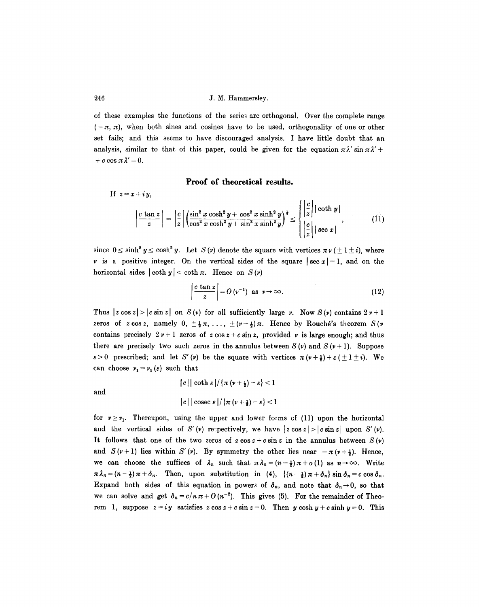of these examples the functions of the series are orthogonal. Over the complete range  $(-\pi, \pi)$ , when both sines and cosines have to be used, orthogonality of one or other set fails; and this seems to have discouraged analysis. I have little doubt that an analysis, similar to that of this paper, could be given for the equation  $\pi \lambda' \sin \pi \lambda' +$ + c cos  $\pi \lambda' = 0$ .

## **Proof of theoretical results.**

If  $z=x+iy$ ,  $\left|\frac{c\tan z}{z}\right| = \left|\frac{c}{z}\right| \left(\sin^2 x \cosh^2 y + \cos^2 x \sinh^2 y\right)^{\frac{1}{4}} \leq \left|\frac{c}{z}\right| |\coth y|$  $\left|\frac{y}{z}\right|$  sec x |

since  $0 \le \sinh^2 y \le \cosh^2 y$ . Let  $S(\nu)$  denote the square with vertices  $\pi \nu (\pm 1 \pm i)$ , where  $\nu$  is a positive integer. On the vertical sides of the square  $\left| \sec x \right| = 1$ , and on the horizontal sides  $|\coth y| \le \coth \pi$ . Hence on  $S(y)$ 

$$
\left|\frac{c\tan z}{z}\right| = O\left(v^{-1}\right) \text{ as } v \to \infty.
$$
 (12)

Thus  $|z \cos z| > |c \sin z|$  on  $S(\nu)$  for all sufficiently large v. Now  $S(\nu)$  contains  $2 \nu + 1$ zeros of *z* cos *z*, namely 0,  $\pm \frac{1}{2} \pi$ , ...,  $\pm (\nu - \frac{1}{2}) \pi$ . Hence by Rouché's theorem *S*(*v* contains precisely  $2v + 1$  zeros of  $z \cos z + c \sin z$ , provided v is large enough; and thus there are precisely two such zeros in the annulus between  $S(\nu)$  and  $S(\nu + 1)$ . Suppose  $\varepsilon > 0$  prescribed; and let S'(v) be the square with vertices  $\pi(\nu + \frac{1}{2}) + \varepsilon(\pm 1 \pm i)$ . We can choose  $v_1 = v_1 (\varepsilon)$  such that

and

$$
|c| |\coth \varepsilon| / \{\pi (\nu + \frac{1}{2}) - \varepsilon\} < 1
$$
  

$$
|c| |\csc \varepsilon| / \{\pi (\nu + \frac{1}{2}) - \varepsilon\} < 1
$$

for  $v \ge v_1$ . Thereupon, using the upper and lower forms of (11) upon the horizontal and the vertical sides of S' (v) respectively, we have  $|z \cos z| > |c \sin z|$  upon S' (v). It follows that one of the two zeros of  $z \cos z + c \sin z$  in the annulus between  $S(\nu)$ and  $S(\nu+1)$  lies within S'(v). By symmetry the other lies near  $-\pi(\nu+\frac{1}{2})$ . Hence, we can choose the suffices of  $\lambda_n$  such that  $\pi \lambda_n = (n-\frac{1}{2}) \pi + o(1)$  as  $n \to \infty$ . Write  $\pi \lambda_n = (n - \frac{1}{2}) \pi + \delta_n$ . Then, upon substitution in (4),  $\{(n - \frac{1}{2}) \pi + \delta_n\} \sin \delta_n = c \cos \delta_n$ . Expand both sides of this equation in powers of  $\delta_n$ , and note that  $\delta_n \rightarrow 0$ , so that we can solve and get  $\delta_n = c/n \pi + O(n^{-2})$ . This gives (5). For the remainder of Theorem 1, suppose  $z = iy$  satisfies  $z \cos z + c \sin z = 0$ . Then  $y \cosh y + c \sinh y = 0$ . This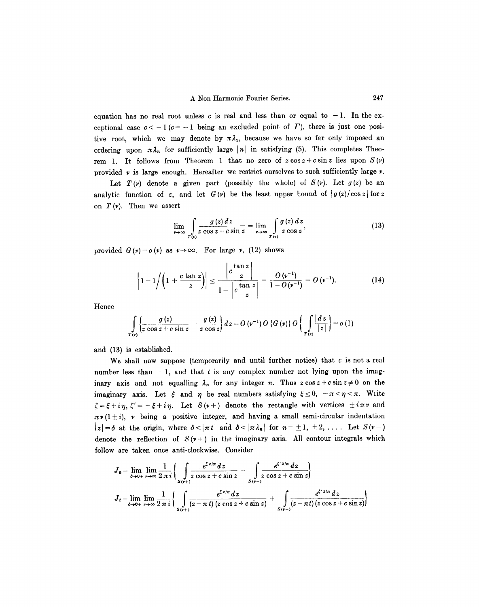equation has no real root unless c is real and less than or equal to  $-1$ . In the exceptional case  $c < -1$  ( $c = -1$  being an excluded point of  $\Gamma$ ), there is just one positive root, which we may denote by  $\pi \lambda_1$ , because we have so far only imposed an ordering upon  $\pi \lambda_n$  for sufficiently large |n| in satisfying (5). This completes Theorem 1. It follows from Theorem 1 that no zero of  $z \cos z + c \sin z$  lies upon  $S(\nu)$ provided  $\nu$  is large enough. Hereafter we restrict ourselves to such sufficiently large  $\nu$ .

Let  $T(\nu)$  denote a given part (possibly the whole) of  $S(\nu)$ . Let  $g(z)$  be an analytic function of z, and let  $G(v)$  be the least upper bound of  $|g(z)|\cos z|$  for z on  $T(\nu)$ . Then we assert

$$
\lim_{\nu \to \infty} \int_{T(\nu)} \frac{g(z) dz}{z \cos z + c \sin z} = \lim_{\nu \to \infty} \int_{T(\nu)} \frac{g(z) dz}{z \cos z},
$$
\n(13)

provided  $G(v) = o(v)$  as  $v \rightarrow \infty$ . For large *v*, (12) shows

$$
\left|1-1/\left(1+\frac{c\tan z}{z}\right)\right| \leq \frac{\left|c\frac{\tan z}{z}\right|}{1-\left|c\frac{\tan z}{z}\right|} = \frac{O(v^{-1})}{1-O(v^{-1})} = O(v^{-1}).\tag{14}
$$

Hence

$$
\int_{T(\nu)} \left\{ \frac{g(z)}{z \cos z + c \sin z} - \frac{g(z)}{z \cos z} \right\} dz = O\left(\nu^{-1}\right) O\left\{G\left(\nu\right)\right\} O\left\{ \int_{T(\nu)} \frac{|dz|}{|z|} \right\} = o\left(1\right)
$$

and (13) is established.

We shall now suppose (temporarily and until further notice) that  $c$  is not a real number less than  $-1$ , and that t is any complex number not lying upon the imaginary axis and not equalling  $\lambda_n$  for any integer n. Thus  $z \cos z + c \sin z \neq 0$  on the imaginary axis. Let  $\xi$  and  $\eta$  be real numbers satisfying  $\xi \leq 0$ ,  $-\pi < \eta < \pi$ . Write  $\zeta = \xi + i\eta, \zeta' = -\xi + i\eta$ . Let  $S(\nu +)$  denote the rectangle with vertices  $\pm i\pi\nu$  and  $\pi \nu (1 \pm i)$ ,  $\nu$  being a positive integer, and having a small semi-circular indentation  $|z|=\delta$  at the origin, where  $\delta<|\pi t|$  and  $\delta<|\pi \lambda_n|$  for  $n=\pm 1, \pm 2, \ldots$ . Let  $S(\nu-)$ denote the reflection of  $S(\nu +)$  in the imaginary axis. All contour integrals which follow are taken once anti-clockwise. Consider

$$
J_0 = \lim_{\delta \to 0+} \lim_{r \to \infty} \frac{1}{2 \pi i} \left\{ \int \limits_{S(r+i)} \frac{e^{\zeta z / \pi} dz}{z \cos z + c \sin z} + \int \limits_{S(r-i)} \frac{e^{\zeta' z / \pi} dz}{z \cos z + c \sin z} \right\}
$$
  

$$
J_t = \lim_{\delta \to 0+} \lim_{r \to \infty} \frac{1}{2 \pi i} \left\{ \int \limits_{S(r+i)} \frac{e^{\zeta z / \pi} dz}{(z - \pi t) (z \cos z + c \sin z)} + \int \limits_{S(r-i)} \frac{e^{\zeta' z / \pi} dz}{(z - \pi t) (z \cos z + c \sin z)} \right\}
$$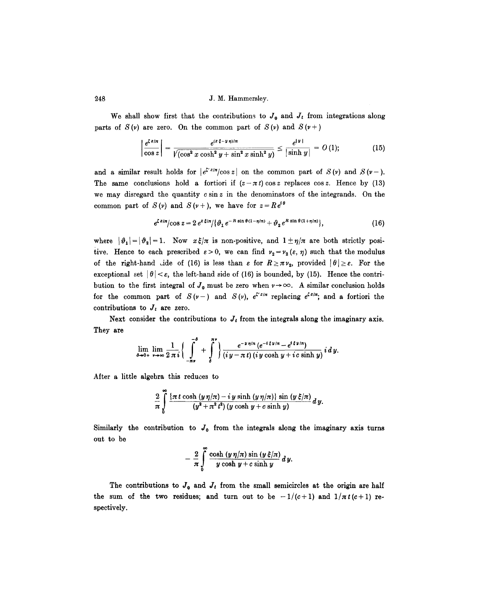We shall show first that the contributions to  $J_0$  and  $J_t$  from integrations along parts of  $S(\nu)$  are zero. On the common part of  $S(\nu)$  and  $S(\nu+)$ 

$$
\left| \frac{e^{\zeta z/n}}{\cos z} \right| = \frac{e^{(x \xi - y \eta)/n}}{\sqrt{(\cos^2 x \cosh^2 y + \sin^2 x \sinh^2 y)}} \le \frac{e^{|y|}}{|\sinh y|} = O(1); \tag{15}
$$

and a similar result holds for  $|e^{iz\pi}/\cos z|$  on the common part of  $S(v)$  and  $S(v-)$ . The same conclusions hold a fortiori if  $(z-\pi t)\cos z$  replaces  $\cos z$ . Hence by (13) we may disregard the quantity  $c \sin z$  in the denominators of the integrands. On the common part of  $S(\nu)$  and  $S(\nu+)$ , we have for  $z=R e^{i\theta}$ 

$$
e^{\zeta z/n}/\cos z = 2 e^{z \xi/\pi}/\{\vartheta_1 e^{-R \sin \theta (1 - \eta/n)} + \vartheta_2 e^{R \sin \theta (1 + \eta/\pi)}\},\tag{16}
$$

where  $|\vartheta_1| = |\vartheta_2| = 1$ . Now  $x \xi/\pi$  is non-positive, and  $1 \pm \eta/\pi$  are both strictly positive. Hence to each prescribed  $\varepsilon > 0$ , we can find  $\nu_2 = \nu_2 (\varepsilon, \eta)$  such that the modulus of the right-hand Lide of (16) is less than  $\varepsilon$  for  $R \geq \pi \nu_2$ , provided  $|\theta| \geq \varepsilon$ . For the exceptional set  $|\theta| < \varepsilon$ , the left-hand side of (16) is bounded, by (15). Hence the contribution to the first integral of  $J_0$  must be zero when  $r \rightarrow \infty$ . A similar conclusion holds for the common part of  $S(v-)$  and  $S(v)$ ,  $e^{\zeta^2/\pi}$  replacing  $e^{\zeta^2/\pi}$ ; and a fortiori the contributions to  $J_t$  are zero.

Next consider the contributions to  $J_t$  from the integrals along the imaginary axis. They are

$$
\lim_{\delta\to 0+}\lim_{\nu\to\infty}\frac{1}{2\,\pi\,i}\bigg\{\int\limits_{-\pi\,y}^{-\delta}\,+\,\int\limits_{\delta}^{\pi\,y}\bigg\}\frac{e^{-y\,\eta/x}\,(e^{-i\,\xi\,y/x}-e^{i\,\xi\,y/x})}{(iy-\pi\,t)\,(iy\,\cosh\,y+i\,c\,\sinh\,y)}\,i\,d\,y.
$$

After a little algebra this reduces to

$$
\frac{2}{\pi}\int\limits_{0}^{\infty}\frac{\left\{\pi\,t\cosh\,(y\,\eta/\pi)-i\,y\,\sinh\,(y\,\eta/\pi)\right\}\,\sin\,(y\,\xi/\pi)}{(y^2+\pi^2\,t^2)\,(y\,\cosh\,y+c\,\sinh\,y)}\,d\,y.
$$

Similarly the contribution to  $J_0$  from the integrals along the imaginary axis turns out to be

$$
-\frac{2}{\pi}\int\limits_{0}^{\infty}\frac{\cosh\left(y\,\eta/\pi\right)\sin\left(y\,\xi/\pi\right)}{y\cosh y+c\sinh y}\,dy.
$$

The contributions to  $J_0$  and  $J_t$  from the small semicircles at the origin are half the sum of the two residues; and turn out to be  $-1/(c+1)$  and  $1/\pi t(c+1)$  respectively.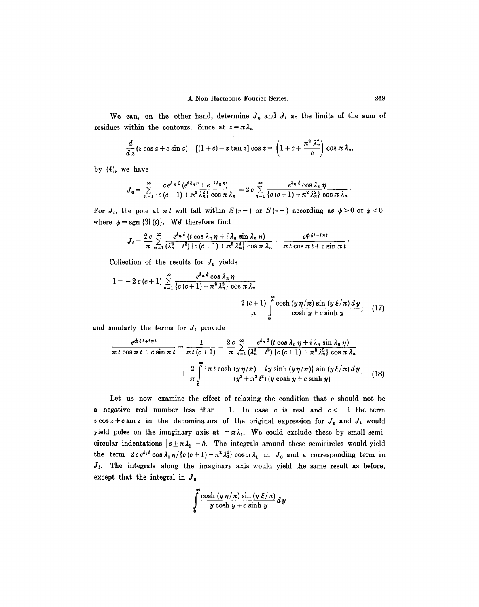We can, on the other hand, determine  $J_0$  and  $J_t$  as the limits of the sum of residues within the contours. Since at  $z = \pi \lambda_n$ 

$$
\frac{d}{d z}(z \cos z + c \sin z) = [(1+c)-z \tan z] \cos z = \left(1+c+\frac{\pi^2 \lambda_n^2}{c}\right) \cos \pi \lambda_n
$$

by (4), we have

$$
J_0 = \sum_{n=1}^{\infty} \frac{ce^{\lambda_n \xi} \left(e^{t\lambda_n \eta} + e^{-t\lambda_n \eta}\right)}{\left\{c \left(c+1\right) + \pi^2 \lambda_n^2\right\} \cos \pi \lambda_n} = 2 c \sum_{n=1}^{\infty} \frac{e^{\lambda_n \xi} \cos \lambda_n \eta}{\left\{c \left(c+1\right) + \pi^2 \lambda_n^2\right\} \cos \pi \lambda_n}
$$

For  $J_t$ , the pole at  $\pi t$  will fall within  $S(\nu+)$  or  $S(\nu-)$  according as  $\phi > 0$  or  $\phi < 0$ where  $\phi = \text{sgn} \{ \Re(t) \}.$  We therefore find

$$
J_t = \frac{2 c}{\pi} \sum_{n=1}^{\infty} \frac{e^{\lambda_n \xi} (t \cos \lambda_n \eta + i \lambda_n \sin \lambda_n \eta)}{(\lambda_n^2 - t^2) \{c (c+1) + \pi^2 \lambda_n^2\} \cos \pi \lambda_n} + \frac{e^{\phi \xi t + i \eta t}}{\pi t \cos \pi t + c \sin \pi t}
$$

Collection of the results for  $J_0$  yields

$$
1 = -2 c (c+1) \sum_{n=1}^{\infty} \frac{e^{\lambda_n \xi} \cos \lambda_n \eta}{\left\{c (c+1) + \pi^2 \lambda_n^2\right\} \cos \pi \lambda_n} - \frac{2 (c+1)}{\pi} \int_{0}^{\infty} \frac{\cosh (y \eta / \pi) \sin (y \xi / \pi) dy}{\cosh y + c \sinh y}; \quad (17)
$$

and similarly the terms for  $J_t$  provide

$$
\frac{e^{\varphi\,\xi\,t+i\,\eta\,t}}{\pi\,t\,\cos\pi\,t+c\,\sin\pi\,t}=\frac{1}{\pi\,t\,(c+1)}-\frac{2\,c}{\pi}\sum_{n=1}^{\infty}\frac{e^{\lambda_n\,\xi}\,(t\,\cos\,\lambda_n\,\eta+i\,\lambda_n\,\sin\,\lambda_n\,\eta)}{\left(\lambda_n^2-t^2\right)\,\left\{c\,(c+1)+\pi^2\,\lambda_n^2\right\}\,\cos\,\pi\,\lambda_n}+\frac{2}{\pi}\int\limits_{0}^{\infty}\frac{\left\{\pi\,t\,\cosh\,(y\,\eta/\pi)-iy\,\sinh\,(y\,\eta/\pi)\right\}\,\sin\,(y\,\xi/\pi)\,dy}{\left(y^2+\pi^2\,t^2\right)\left(y\,\cosh\,y+c\,\sinh\,y\right)}.\tag{18}
$$

Let us now examine the effect of relaxing the condition that  $c$  should not be a negative real number less than  $-1$ . In case c is real and  $c < -1$  the term  $z \cos z + c \sin z$  in the denominators of the original expression for  $J_0$  and  $J_t$  would yield poles on the imaginary axis at  $\pm \pi \lambda_1$ . We could exclude these by small semicircular indentations  $|z+\pi\lambda_1|=\delta$ . The integrals around these semicircles would yield the term  $2 c e^{\lambda_1 t} \cos \lambda_1 \eta / \{c (c + 1) + \pi^2 \lambda_1^2\} \cos \pi \lambda_1$  in  $J_0$  and a corresponding term in *Jr.* The integrals along the imaginary axis would yield the same result as before, except that the integral in  $J_0$ 

$$
\int\limits_{0}^{\infty}\frac{\cosh\left(y\,\eta/\pi\right)\sin\left(y\,\xi/\pi\right)}{y\,\cosh\,y+c\,\sinh\,y}\,dy
$$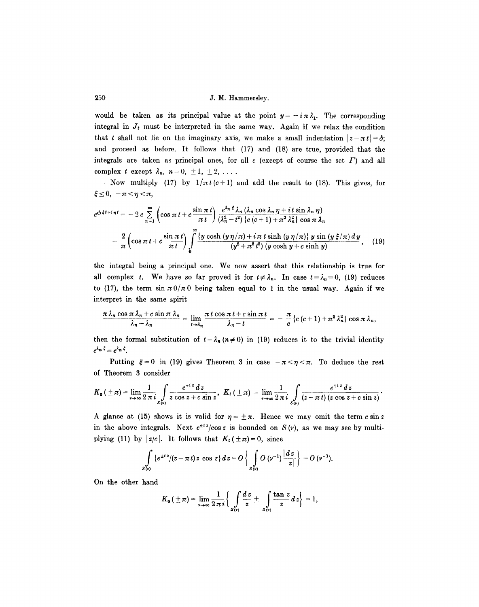would be taken as its principal value at the point  $y=-i\pi\lambda_1$ . The corresponding integral in  $J_t$  must be interpreted in the same way. Again if we relax the condition that t shall not lie on the imaginary axis, we make a small indentation  $|z-\pi t|=\delta$ ; and proceed as before. It follows that (17) and (18) are true, provided that the integrals are taken as principal ones, for all c (except of course the set  $\Gamma$ ) and all complex t except  $\lambda_n$ ,  $n=0, \pm 1, \pm 2, \ldots$ .

Now multiply (17) by  $1/\pi t(c+1)$  and add the result to (18). This gives, for  $\xi \leq 0, -\pi < \eta < \pi,$ 

$$
e^{\phi \xi t + i\eta t} = -2 c \sum_{n=1}^{\infty} \left( \cos \pi t + c \frac{\sin \pi t}{\pi t} \right) \frac{e^{\lambda_n \xi} \lambda_n (\lambda_n \cos \lambda_n \eta + i t \sin \lambda_n \eta)}{(\lambda_n^2 - t^2) \{c (c+1) + \pi^2 \lambda_n^2\} \cos \pi \lambda_n} - \frac{2}{\pi} \left( \cos \pi t + c \frac{\sin \pi t}{\pi t} \right) \int_0^{\infty} \frac{\{y \cosh (y \eta / \pi) + i \pi t \sinh (y \eta / \pi) \} y \sin (y \xi / \pi) dy}{(y^2 + \pi^2 t^2) (y \cosh y + c \sinh y)}, \quad (19)
$$

the integral being a principal one. We now assert that this relationship is true for all complex t. We have so far proved it for  $t \neq \lambda_n$ . In case  $t = \lambda_0 = 0$ , (19) reduces to (17), the term  $\sin \pi \theta / \pi 0$  being taken equal to 1 in the usual way. Again if we interpret in the same spirit

$$
\frac{\pi \lambda_n \cos \pi \lambda_n + c \sin \pi \lambda_n}{\lambda_n - \lambda_n} = \lim_{t \to \lambda_n} \frac{\pi t \cos \pi t + c \sin \pi t}{\lambda_n - t} = -\frac{\pi}{c} \left\{ c (c+1) + \pi^2 \lambda_n^2 \right\} \cos \pi \lambda_n,
$$

then the formal substitution of  $t = \lambda_n (n \neq 0)$  in (19) reduces it to the trivial identity  $e^{\lambda_n\zeta} = e^{\lambda_n\zeta}$ .

Putting  $\xi = 0$  in (19) gives Theorem 3 in case  $-\pi < \eta < \pi$ . To deduce the rest of Theorem 3 consider

$$
K_0(\pm \pi) = \lim_{\nu \to \infty} \frac{1}{2 \pi i} \int_{S(\nu)} \frac{e^{\pm iz} dz}{z \cos z + c \sin z}, \quad K_t(\pm \pi) = \lim_{\nu \to \infty} \frac{1}{2 \pi i} \int_{S(\nu)} \frac{e^{\pm iz} dz}{(z - \pi t) (z \cos z + c \sin z)}.
$$

A glance at (15) shows it is valid for  $\eta = \pm \pi$ . Hence we may omit the term c sin z in the above integrals. Next  $e^{t^2}/\cos z$  is bounded on  $S(v)$ , as we may see by multiplying (11) by  $|z/c|$ . It follows that  $K_t(\pm \pi)=0$ , since

$$
\int_{S(v)} \{e^{\pm iz}/(z-\pi t) z \cos z\} dz = O\left\{\int_{S(v)} O(v^{-1}) \frac{|dz|}{|z|}\right\} = O(v^{-1}).
$$

On the other hand

$$
K_0(\pm \pi)=\lim_{\nu\to\infty}\frac{1}{2\pi i}\bigg\{\int\limits_{S(\nu)}\frac{dz}{z}\pm \int\limits_{S(\nu)}\frac{\tan z}{z}\,dz\bigg\}=1,
$$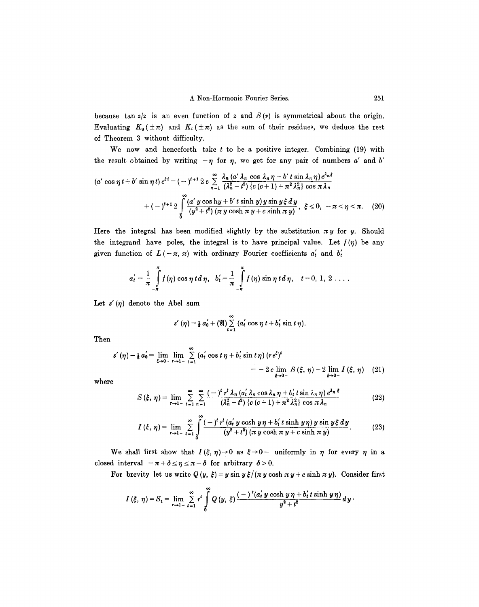because tan  $z/z$  is an even function of z and  $S(\nu)$  is symmetrical about the origin. Evaluating  $K_0(\pm \pi)$  and  $K_t(\pm \pi)$  as the sum of their residues, we deduce the rest of Theorem 3 without difficulty.

We now and henceforth take  $t$  to be a positive integer. Combining (19) with the result obtained by writing  $-\eta$  for  $\eta$ , we get for any pair of numbers a' and b'

$$
(a'\cos\eta t + b'\sin\eta t) e^{\xi t} = (-\zeta)^{t+1} 2c \sum_{n=1}^{\infty} \frac{\lambda_n (a'\lambda_n \cos \lambda_n \eta + b' \tan \lambda_n \eta) e^{\lambda_n \xi}}{(\lambda_n^2 - t^2) (c(c+1) + \pi^2 \lambda_n^2) \cos \pi \lambda_n}
$$

$$
+ (-\zeta)^{t+1} 2 \int_0^{\infty} \frac{(a' \ y \cos \mathrm{h} y + b' \ t \sin \mathrm{h} \ y) y \sin \psi \xi \, dy}{(y^2 + t^2) (\pi \ y \cosh \pi \ y + c \sinh \pi \ y)}, \ \xi \le 0, -\pi < \eta < \pi. \tag{20}
$$

Here the integral has been modified slightly by the substitution  $\pi y$  for y. Should the integrand have poles, the integral is to have principal value. Let  $f(\eta)$  be any given function of  $L(-\pi, \pi)$  with ordinary Fourier coefficients  $a'_t$  and  $b'_t$ 

$$
a'_{t} = \frac{1}{\pi} \int_{-\pi}^{\pi} f(\eta) \cos \eta t d\eta, \quad b'_{t} = \frac{1}{\pi} \int_{-\pi}^{\pi} f(\eta) \sin \eta t d\eta, \quad t = 0, 1, 2 \ldots
$$

Let  $s'(\eta)$  denote the Abel sum

$$
s'(\eta) = \frac{1}{2} a'_0 + (\mathfrak{A}) \sum_{t=1}^{\infty} (a'_t \cos \eta t + b'_t \sin t \eta).
$$

**Then** 

$$
s'(\eta) - \frac{1}{2} a_0' = \lim_{\xi \to 0^-} \lim_{\tau \to 1^-} \sum_{t=1}^{\infty} (a_t' \cos t \eta + b_t' \sin t \eta) (r e^{\xi})^t
$$
  
= -2 c \lim\_{\xi \to 0^-} S(\xi, \eta) - 2 \lim\_{\xi \to 0^-} I(\xi, \eta) (21)

where

$$
S\left(\xi,\,\eta\right)=\lim_{r\to 1^-}\sum_{t=1}^{\infty}\sum_{n=1}^{\infty}\frac{(-)^{t}r^{t}\,\lambda_{n}\left(a_{t}^{'}\,\lambda_{n}\cos\lambda_{n}\,\eta+b_{t}^{'}\,t\sin\lambda_{n}\,\eta\right)e^{\lambda_{n}\,\xi}}{\left(\lambda_{n}^{2}-t^{2}\right)\left(c\left(c+1\right)+\pi^{2}\,\lambda_{n}^{2}\right)\,\cos\pi\,\lambda_{n}}\tag{22}
$$

$$
I(\xi, \eta) = \lim_{r \to 1^-} \sum_{t=1}^{\infty} \int_{0}^{\infty} \frac{(-)^t r^t (a'_t y \cosh y \eta + b'_t t \sinh y \eta) y \sin y \xi dy}{(y^2 + t^2) (\pi y \cosh \pi y + c \sinh \pi y)}.
$$
 (23)

We shall first show that  $I(\xi, \eta) \to 0$  as  $\xi \to 0$ - uniformly in  $\eta$  for every  $\eta$  in a closed interval  $-\pi + \delta \leq \eta \leq \pi - \delta$  for arbitrary  $\delta > 0$ .

For brevity let us write  $Q(y, \xi) = y \sin y \xi / (\pi y \cosh \pi y + c \sinh \pi y)$ . Consider first

$$
I(\xi, \eta) = S_1 = \lim_{r \to 1^-} \sum_{t=1}^{\infty} r^t \int_0^{\infty} Q(y, \xi) \frac{(-)^t (a'_t y \cosh y \eta + b'_t t \sinh y \eta)}{y^2 + t^2} dy.
$$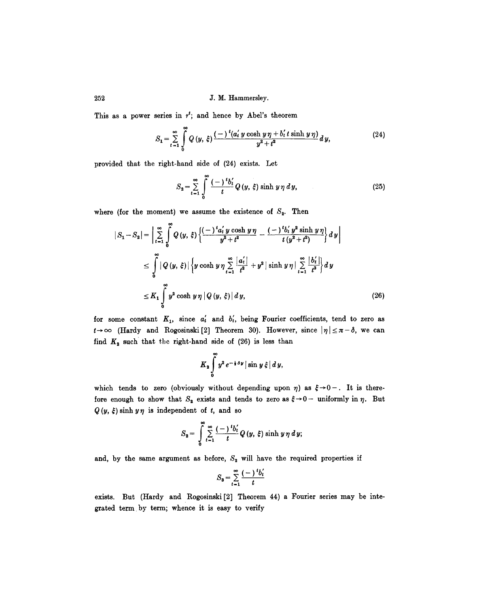This as a power series in  $r^t$ ; and hence by Abel's theorem

$$
S_1 = \sum_{t=1}^{\infty} \int_{0}^{\infty} Q(y, \xi) \frac{(-)^t (a'_t y \cosh y \eta + b'_t t \sinh y \eta)}{y^2 + t^2} dy,
$$
 (24)

provided that the right-hand side of (24) exists. Let

$$
S_2 = \sum_{t=1}^{\infty} \int_{0}^{\infty} \frac{(-t)^t b'_t}{t} Q(y, \xi) \sinh(y \eta \, dy), \tag{25}
$$

where (for the moment) we assume the existence of  $S_2$ . Then

$$
|S_1 - S_2| = \left| \sum_{t=1}^{\infty} \int_0^{\infty} Q(y, \xi) \left\{ \frac{(-)^t a'_t y \cosh y \eta}{y^2 + t^2} - \frac{(-)^t b'_t y^2 \sinh y \eta}{t (y^2 + t^2)} \right\} dy \right|
$$
  

$$
\leq \int_0^{\infty} |Q(y, \xi)| \left\{ y \cosh y \eta \sum_{t=1}^{\infty} \frac{|a'_t|}{t^2} + y^2 |\sinh y \eta| \sum_{t=1}^{\infty} \frac{|b'_t|}{t^3} \right\} dy
$$
  

$$
\leq K_1 \int_0^{\infty} y^2 \cosh y \eta |Q(y, \xi)| dy,
$$
 (26)

for some constant  $K_1$ , since  $a'_t$  and  $b'_t$ , being Fourier coefficients, tend to zero as  $t\rightarrow\infty$  (Hardy and Rogosinski[2] Theorem 30). However, since  $|\eta| \leq \pi - \delta$ , we can find  $K_2$  such that the right-hand side of (26) is less than

$$
K_2\int\limits_{0}^{\infty}y^2e^{-\frac{1}{2}\delta y}\big|\sin y\xi\big|\,dy,
$$

which tends to zero (obviously without depending upon  $\eta$ ) as  $\xi \rightarrow 0-$ . It is therefore enough to show that  $S_2$  exists and tends to zero as  $\xi \rightarrow 0-$  uniformly in  $\eta$ . But  $Q(y, \xi)$  sinh  $y\eta$  is independent of t, and so

$$
S_2 = \int\limits_0^\infty \sum\limits_{t=1}^\infty \frac{(-\theta)^t b'_t}{t} Q(y, \xi) \sinh(y \eta \, dy)
$$

and, by the same argument as before,  $S_2$  will have the required properties if

$$
S_3 = \sum_{t=1}^{\infty} \frac{(-)^t b'_t}{t}
$$

exists. But (Hardy and Rogosinski [2] Theorem 44) a Fourier series may be integrated term by term; whence it is easy to verify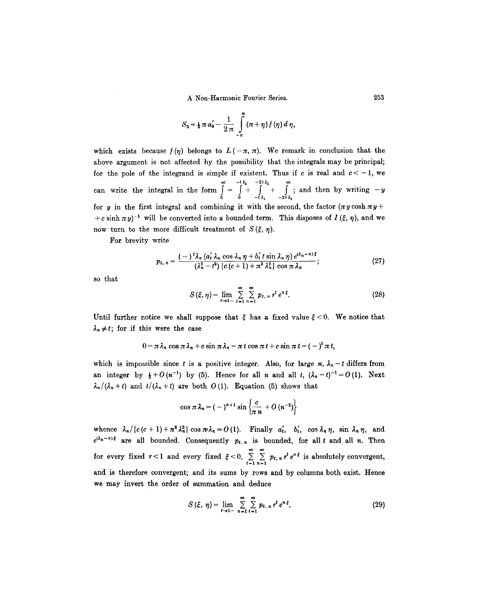$$
S_3 = \frac{1}{2} \pi a'_0 - \frac{1}{2 \pi} \int_{-\pi}^{\pi} (\pi + \eta) f(\eta) d\eta,
$$

which exists because  $f(\eta)$  belongs to  $L(-\pi, \pi)$ . We remark in conclusion that the above argument is not affected by the possibility that the integrals may be principal; for the pole of the integrand is simple if existent. Thus if c is real and  $c < -1$ , we  $-i\lambda_1$   $-2i\lambda_1$  ; can write the integral in the form  $= | + | + |$ ; and then by writing  $-y$ 0 0  $-i \lambda_1$   $-2i \lambda_1$ for y in the first integral and combining it with the second, the factor  $(\pi y \cosh \pi y +$ +c sinh  $\pi y$ <sup>-1</sup> will be converted into a bounded term. This disposes of  $I(\xi, \eta)$ , and we now turn to the more difficult treatment of  $S(\xi, \eta)$ .

For brevity write

$$
p_{t, n} = \frac{(-\int^t \lambda_n \left(a'_t \lambda_n \cos \lambda_n \eta + b'_t t \sin \lambda_n \eta\right) e^{(\lambda_n - n)\xi}}{\left(\lambda_n^2 - t^2\right) \left\{c \left(c + 1\right) + \pi^2 \lambda_n^2\right\} \cos \pi \lambda_n};\tag{27}
$$

so that

$$
S(\xi,\eta)=\lim_{r\to 1^-}\sum_{t=1}^{\infty}\sum_{n=1}^{\infty}p_{t,n}r^te^{n\xi}.
$$
 (28)

Until further notice we shall suppose that  $\xi$  has a fixed value  $\xi$  < 0. We notice that  $\lambda_n \neq t$ ; for if this were the case

$$
0 = \pi \lambda_n \cos \pi \lambda_n + c \sin \pi \lambda_n = \pi t \cos \pi t + c \sin \pi t = (-)^t \pi t,
$$

which is impossible since t is a positive integer. Also, for large n,  $\lambda_n - t$  differs from an integer by  $\frac{1}{2}+O(n^{-1})$  by (5). Hence for all n and all t,  $(\lambda_n-t)^{-1}=O(1)$ . Next  $\lambda_n/(\lambda_n+t)$  and  $t/(\lambda_n+t)$  are both O(1). Equation (5) shows that

$$
\cos \pi \lambda_n = (-)^{n+1} \sin \left\{ \frac{c}{\pi n} + O\left( n^{-2} \right) \right\}
$$

whence  $\lambda_n/\{c(c+1)+\pi^2\lambda_n^2\}$  cos  $\pi\lambda_n=O(1)$ . Finally  $a'_t$ ,  $b'_t$ , cos  $\lambda_n\eta$ , sin  $\lambda_n\eta$ , and  $e^{(\lambda_n - n)\xi}$  are all bounded. Consequently  $p_{t,n}$  is bounded, for all t and all n. Then for every fixed  $r < 1$  and every fixed  $\xi < 0$ ,  $\sum_{t=1}^{\infty} \sum_{n=1}^{\infty} p_{t,n} r^t e^{n \xi}$  is absolutely convergent, and is therefore convergent; and its sums by rows and by columns both exist. Hence we may invert the order of summation and deduce

$$
S(\xi, \eta) = \lim_{r \to 1^-} \sum_{n=1}^{\infty} \sum_{t=1}^{\infty} p_{t, n} r^t e^{n \xi}.
$$
 (29)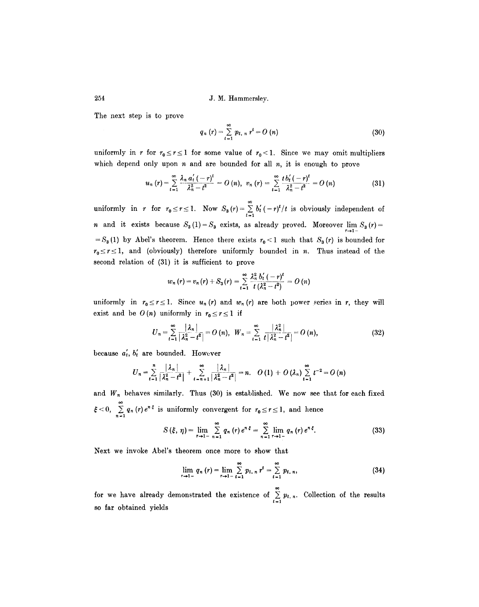The next step is to prove

$$
q_n(r) = \sum_{t=1}^{\infty} p_{t,n} r^t = O(n)
$$
 (30)

uniformly in r for  $r_0 \le r \le 1$  for some value of  $r_0 < 1$ . Since we may omit multipliers which depend only upon  $n$  and are bounded for all  $n$ , it is enough to prove

$$
u_n(r) = \sum_{t=1}^{\infty} \frac{\lambda_n a'_t(-r)^t}{\lambda_n^2 - t^2} = O\left(n\right), \ \ v_n\left(r\right) = \sum_{t=1}^{\infty} \frac{t b'_t(-r)^t}{\lambda_n^2 - t^2} = O\left(n\right) \tag{31}
$$

uniformly in *r* for  $r_0 \le r \le 1$ . Now  $S_3(r) = \sum_{t=1} b'_t(-r)^t/t$  is obviously independent of *n* and it exists because  $S_3(1) = S_3$  exists, as already proved. Moreover  $\lim_{r\to 1^-} S_3(r) =$ =  $S_3(1)$  by Abel's theorem. Hence there exists  $r_0 < 1$  such that  $S_3(r)$  is bounded for  $r_0 \le r \le 1$ , and (obviously) therefore uniformly bounded in n. Thus instead of the second relation of (31) it is sufficient to prove

$$
w_n(r) = v_n(r) + S_3(r) = \sum_{t=1}^{\infty} \frac{\lambda_n^2 b'_t(-r)^t}{t(\lambda_n^2 - t^2)} = O(n)
$$

uniformly in  $r_0 \le r \le 1$ . Since  $u_n(r)$  and  $w_n(r)$  are both power series in r, they will exist and be  $O(n)$  uniformly in  $r_0 \le r \le 1$  if

$$
U_n = \sum_{t=1}^{\infty} \frac{|\lambda_n|}{|\lambda_n^2 - t^2|} = O(n), \ \ W_n = \sum_{t=1}^{\infty} \frac{|\lambda_n^2|}{t |\lambda_n^2 - t^2|} = O(n), \tag{32}
$$

because  $a'_t$ ,  $b'_t$  are bounded. However

$$
U_n = \sum_{t=1}^n \frac{|\lambda_n|}{|\lambda_n^2 - t^2|} + \sum_{t=n+1}^\infty \frac{|\lambda_n|}{|\lambda_n^2 - t^2|} = n. \quad O(1) + O(\lambda_n) \sum_{t=1}^\infty t^{-2} = O(n)
$$

and  $W_n$  behaves similarly. Thus (30) is established. We now see that for each fixed  $< 0, \sum_{n=1}^{\infty} q_n(r) e^{n \xi}$  is uniformly convergent for  $r_0 \le r \le 1$ , and hence

$$
S(\xi, \eta) = \lim_{r \to 1^-} \sum_{n=1}^{\infty} q_n(r) e^{n \xi} = \sum_{n=1}^{\infty} \lim_{r \to 1^-} q_n(r) e^{n \xi}.
$$
 (33)

Next we invoke Abel's theorem once more to show that

$$
\lim_{r \to 1-} q_n(r) = \lim_{r \to 1-} \sum_{t=1}^{\infty} p_{t, n} r^t = \sum_{t=1}^{\infty} p_{t, n}, \qquad (34)
$$

for we have already demonstrated the existence of  $\sum_{t=1}^{\infty} p_{t,n}$ . Collection of the results so far obtained yields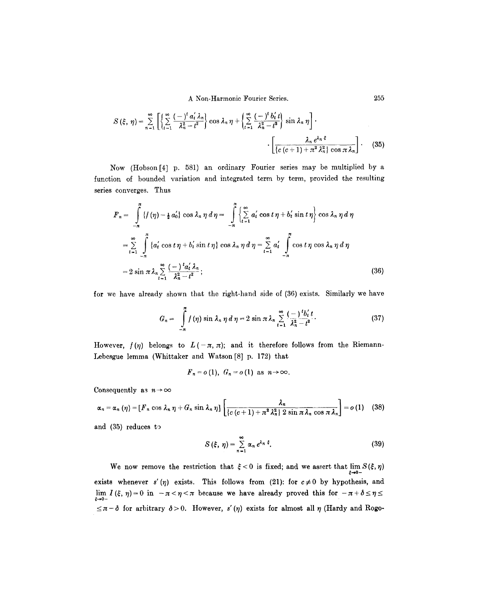A Non-Harmonic Fourier Series. 255

$$
S\left(\xi,\,\eta\right)=\sum_{n=1}^{\infty}\left[\left\{\sum_{t=1}^{\infty}\frac{(-)^{t}a_{t}'\lambda_{n}}{\lambda_{n}^{2}-t^{2}}\right\}\cos\lambda_{n}\,\eta+\left\{\sum_{t=1}^{\infty}\frac{(-)^{t}b_{t}'t}{\lambda_{n}^{2}-t^{2}}\right\}\sin\lambda_{n}\,\eta\right].
$$
\n
$$
\cdot\left[\frac{\lambda_{n}e^{\lambda_{n}\,\xi}}{\left\{c\left(c+1\right)+\pi^{2}\lambda_{n}^{2}\right\}\cos\pi\,\lambda_{n}}\right].
$$
\n(35)

Now (Hobson[4] p. 581) an ordinary Fourier series may be multiplied by a function of bounded variation and integrated term by term, provided the resulting series converges. Thus

$$
F_n = \int_{-\pi}^{\pi} \{f(\eta) - \frac{1}{2} a_0'\} \cos \lambda_n \eta \, d\eta = \int_{-\pi}^{\pi} \left\{ \sum_{t=1}^{\infty} a_t' \cos t \eta + b_t' \sin t \eta \right\} \cos \lambda_n \eta \, d\eta
$$

$$
= \sum_{t=1}^{\infty} \int_{-\pi}^{\pi} \{a_t' \cos t \eta + b_t' \sin t \eta\} \cos \lambda_n \eta \, d\eta = \sum_{t=1}^{\infty} a_t' \int_{-\pi}^{\pi} \cos t \eta \cos \lambda_n \eta \, d\eta
$$

$$
= 2 \sin \pi \lambda_n \sum_{t=1}^{\infty} \frac{(-)^t a_t' \lambda_n}{\lambda_n^2 - t^2};
$$
(36)

for we have already shown that the right-hand side of (36) exists. Similarly we have

$$
G_n = \int_{-\pi}^{\pi} f(\eta) \sin \lambda_n \eta \, d\eta = 2 \sin \pi \lambda_n \sum_{t=1}^{\infty} \frac{(-1)^t b_t'}{\lambda_n^2 - t^2}.
$$
 (37)

However,  $f(\eta)$  belongs to  $L(-\pi, \pi)$ ; and it therefore follows from the Riemann-Lebesgue lemma (Whittaker and Watson [8] p. 172) that

$$
F_n = o(1), G_n = o(1) \text{ as } n \to \infty.
$$

Consequently as  $n \to \infty$ 

$$
\alpha_n = \alpha_n (\eta) = [F_n \cos \lambda_n \eta + G_n \sin \lambda_n \eta] \left[ \frac{\lambda_n}{\{c(c+1) + \pi^2 \lambda_n^2 \} 2 \sin \pi \lambda_n \cos \pi \lambda_n} \right] = o(1) \quad (38)
$$

and  $(35)$  reduces to

$$
S(\xi, \eta) = \sum_{n=1}^{\infty} \alpha_n e^{\lambda_n \xi}.
$$
 (39)

We now remove the restriction that  $\xi < 0$  is fixed; and we assert that  $\lim_{\xi \to 0^-} S(\xi, \eta)$ exists whenever s'( $\eta$ ) exists. This follows from (21): for  $c \neq 0$  by hypothesis, and lim  $I(\xi, \eta) = 0$  in  $-\pi < \eta < \pi$  because we have already proved this for  $-\pi + \delta \leq \eta \leq \pi$  $\xi \rightarrow 0 \leq \pi - \delta$  for arbitrary  $\delta > 0$ . However, s'(*n*) exists for almost all  $\eta$  (Hardy and Rogo-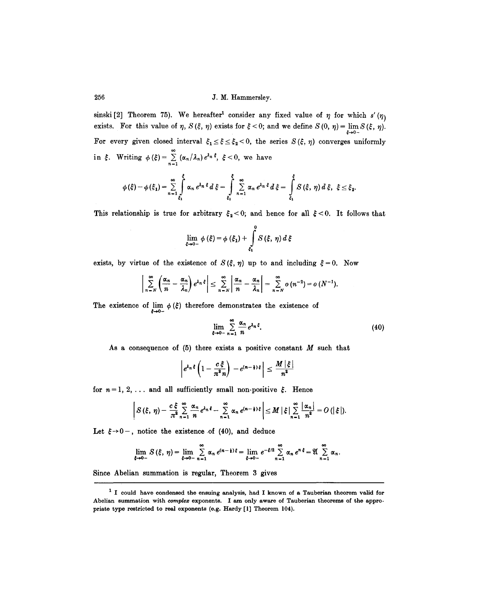sinski [2] Theorem 75). We hereafter<sup>1</sup> consider any fixed value of  $\eta$  for which s'( $\eta$ ) exists. For this value of  $\eta$ ,  $S(\xi, \eta)$  exists for  $\xi < 0$ ; and we define  $S(0, \eta) = \lim_{\xi \to 0^-} S(\xi, \eta)$ . For every given closed interval  $\xi_1 \leq \xi \leq \xi_2 < 0$ , the series  $S(\xi, \eta)$  converges uniformly in  $\xi$ . Writing  $\phi(\xi) = \sum_{n=1}^{\infty} (\alpha_n/\lambda_n) e^{\lambda_n \xi}, \xi < 0$ , we have

$$
\phi(\xi) - \phi(\xi_1) = \sum_{n=1}^{\infty} \int_{\xi_1}^{\xi} \alpha_n e^{\lambda_n \xi} d\xi = \int_{\xi_1}^{\xi} \sum_{n=1}^{\infty} \alpha_n e^{\lambda_n \xi} d\xi = \int_{\xi_1}^{\xi} S(\xi, \eta) d\xi, \xi \leq \xi_2.
$$

This relationship is true for arbitrary  $\xi_2 < 0$ ; and hence for all  $\xi < 0$ . It follows that

$$
\lim_{\xi \to 0-} \phi(\xi) = \phi(\xi_1) + \int_{\xi_1}^{0} S(\xi, \eta) d\xi
$$

exists, by virtue of the existence of  $S(\xi, \eta)$  up to and including  $\xi = 0$ . Now

$$
\sum_{n=N}^{\infty} \left( \frac{\alpha_n}{n} - \frac{\alpha_n}{\lambda_n} \right) e^{\lambda_n \xi} \le \sum_{n=N}^{\infty} \left| \frac{\alpha_n}{n} - \frac{\alpha_n}{\lambda_n} \right| = \sum_{n=N}^{\infty} o(n^{-2}) = o(N^{-1}).
$$

The existence of  $\lim_{\xi \to 0^-} \phi(\xi)$  therefore demonstrates the existence of

$$
\lim_{\xi \to 0^-} \sum_{n=1}^{\infty} \frac{\alpha_n}{n} e^{\lambda_n \xi}.
$$
\n(40)

As a consequence of  $(5)$  there exists a positive constant  $M$  such that

$$
\left| e^{\lambda_n \xi} \left( 1 - \frac{c \xi}{\pi^2 n} \right) - e^{(n-1) \xi} \right| \leq \frac{M |\xi|}{n^2}
$$

for  $n = 1, 2, \ldots$  and all sufficiently small non-positive  $\xi$ . Hence

$$
\left|S(\xi,\,\eta)-\frac{c\,\xi}{\pi^2}\sum_{n=1}^{\infty}\frac{\alpha_n}{n}e^{\lambda_n\,\xi}-\sum_{n=1}^{\infty}\alpha_n\,e^{(n-1)\,\xi}\right|\leq M\,\big|\,\xi\,\big|\sum_{n=1}^{\infty}\frac{|\alpha_n|}{n^2}=O\left(\big|\,\xi\,\big|\right).
$$

Let  $\xi \rightarrow 0^-$ , notice the existence of (40), and deduce

$$
\lim_{\xi\to 0-} S(\xi, \eta) = \lim_{\xi\to 0-} \sum_{n=1}^{\infty} \alpha_n e^{(n-\frac{1}{2})\xi} = \lim_{\xi\to 0-} e^{-\xi/2} \sum_{n=1}^{\infty} \alpha_n e^{n\xi} = \mathfrak{A} \sum_{n=1}^{\infty} \alpha_n.
$$

Since Abelian summation is regular, Theorem 3 gives

<sup>1</sup> I could have condensed the ensuing analysis, had I known of a Tauberian theorem valid for Abelian summation with *complex* exponents. I am only aware of Tauberian theorems of the appropriate type restricted to real exponents (e.g. Hardy [1] Theorem 104).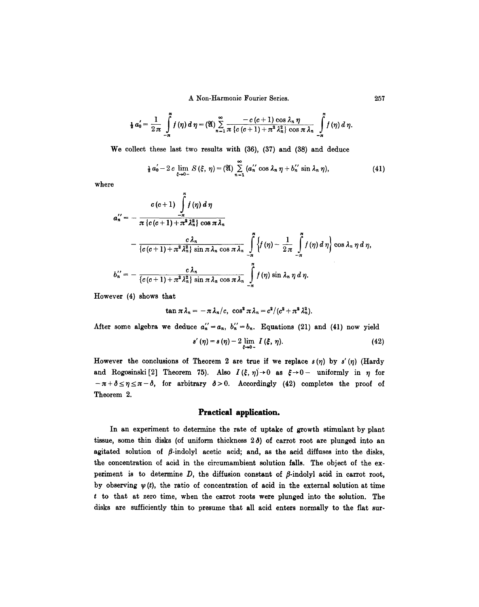A Non-Harmonic Fourier Series. 257

$$
\frac{1}{2}a'_0=\frac{1}{2\pi}\int\limits_{-\pi}^{\pi}f(\eta)\,d\,\eta=(\mathfrak{A})\sum\limits_{n=1}^{\infty}\frac{-c\,(c+1)\,\cos\,\lambda_n\,\eta}{\pi\,\{c\,(c+1)+\pi^2\,\lambda_n^2\}\,\cos\,\pi\,\lambda_n}\,\int\limits_{-\pi}^{\pi}f(\eta)\,d\,\eta.
$$

We collect these last two results with (36), (37) and (38) and deduce

$$
\frac{1}{2} a'_0 - 2 c \lim_{\xi \to 0^-} S(\xi, \eta) = (\mathfrak{A}) \sum_{n=1}^{\infty} (a''_n \cos \lambda_n \eta + b''_n \sin \lambda_n \eta), \qquad (41)
$$

where

$$
a_n'' = -\frac{c(c+1)\int\limits_{-\pi}^{\pi} f(\eta) d\eta}{\pi(c(c+1)+\pi^2\lambda_n^2)\cos \pi\lambda_n} -\frac{c\lambda_n}{\{c(c+1)+\pi^2\lambda_n^2\}\sin \pi\lambda_n\cos \pi\lambda_n}\int\limits_{-\pi}^{\pi} \left\{f(\eta)-\frac{1}{2\pi}\int\limits_{-\pi}^{\pi} f(\eta) d\eta\right\}\cos \lambda_n \eta d\eta, b_n'' = -\frac{c\lambda_n}{\{c(c+1)+\pi^2\lambda_n^2\}\sin \pi\lambda_n\cos \pi\lambda_n}\int\limits_{-\pi}^{\pi} f(\eta) \sin \lambda_n \eta d\eta.
$$

However (4) shows that

$$
\tan \pi \lambda_n = -\pi \lambda_n/c, \ \cos^2 \pi \lambda_n = c^2/(c^2 + \pi^2 \lambda_n^2).
$$

After some algebra we deduce  $a_n'' = a_n$ ,  $b_n'' = b_n$ . Equations (21) and (41) now yield

$$
s'(\eta) = s(\eta) - 2 \lim_{\xi \to 0-} I(\xi, \eta). \tag{42}
$$

However the conclusions of Theorem 2 are true if we replace  $s(\eta)$  by  $s'(\eta)$  (Hardy and Rogosinski<sup>[2]</sup> Theorem 75). Also  $I(\xi, \eta) \to 0$  as  $\xi \to 0$ - uniformly in  $\eta$  for  $-\pi + \delta \le \eta \le \pi - \delta$ , for arbitrary  $\delta > 0$ . Accordingly (42) completes the proof of Theorem 2.

## Practical application.

In an experiment to determine the rate of uptake of growth stimulant by plant tissue, some thin disks (of uniform thickness  $2\delta$ ) of carrot root are plunged into an agitated solution of  $\beta$ -indolyl acetic acid; and, as the acid diffuses into the disks, the concentration of acid in the circumambient solution falls. The object of the experiment is to determine  $D$ , the diffusion constant of  $\beta$ -indolyl acid in carrot root, by observing  $\psi(t)$ , the ratio of concentration of acid in the external solution at time t to that at zero time, when the carrot roots were plunged into the solution. The disks are sufficiently thin to presume that all acid enters normally to the flat sur-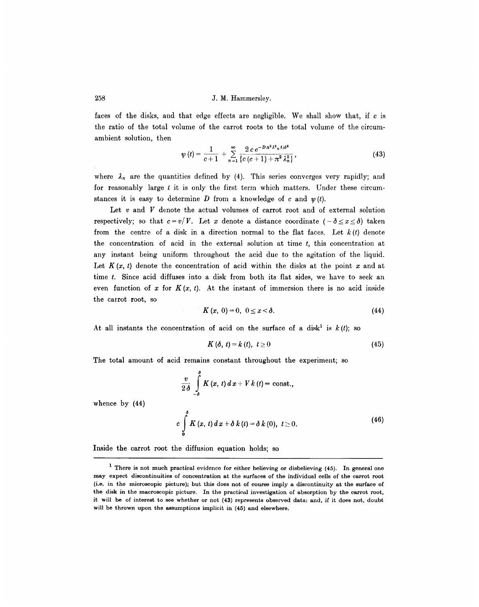faces of the disks, and that edge effects are negligible. We shall show that, if c is the ratio of the total volume of the carrot roots to the total volume of the circumambient solution, then

$$
\psi(t) = \frac{1}{c+1} + \sum_{n=1}^{\infty} \frac{2 c e^{-D n^2 \lambda^2 n^2 / \delta^2}}{\left\{c (c+1) + \pi^2 \lambda_n^2\right\}},
$$
\n(43)

where  $\lambda_n$  are the quantities defined by (4). This series converges very rapidly; and for reasonably large  $t$  it is only the first term which matters. Under these circumstances it is easy to determine D from a knowledge of c and  $\psi(t)$ .

Let  $v$  and  $V$  denote the actual volumes of carrot root and of external solution respectively; so that  $c = v/V$ . Let x denote a distance coordinate  $(-\delta \le x \le \delta)$  taken from the centre of a disk in a direction normal to the flat faces. Let  $k(t)$  denote the concentration of acid in the external solution at time  $t$ , this concentration at any instant being uniform throughout the acid due to the agitation of the liquid. Let  $K(x, t)$  denote the concentration of acid within the disks at the point x and at time t. Since acid diffuses into a disk from both its flat sides, we have to seek an even function of x for  $K(x, t)$ . At the instant of immersion there is no acid inside the carrot root, so

$$
K(x, 0) = 0, 0 \leq x < \delta. \tag{44}
$$

At all instants the concentration of acid on the surface of a disk<sup>1</sup> is  $k(t)$ ; so

$$
K\left(\delta,\,t\right)=k\left(t\right),\ t\geq0\tag{45}
$$

The total amount of acid remains constant throughout the experiment; so

$$
\frac{v}{2\delta} \int_{-\delta}^{\delta} K(x, t) dx + V k(t) = \text{const.},
$$
  

$$
c \int_{0}^{\delta} K(x, t) dx + \delta k(t) = \delta k(0), t \ge 0.
$$
 (46)

Inside the carrot root the diffusion equation holds; so

whence by (44)

<sup>1</sup> There is not much practical evidence for either believing or disbelieving (45). In general **one**  may expect discontinuities of concentration at the surfaces of the individual ceils of the carrot root (i.e. in the microscopic picture); but this does not of course imply a discontinuity at the surface of **the** disk in the macroscopic picture. In the practical investigation of absorption by the carrot root, it will be of interest to see whether or not (43) represents observed data: and, if it does not, doubt will be thrown upon the assumptions implicit in (45) and elsewhere.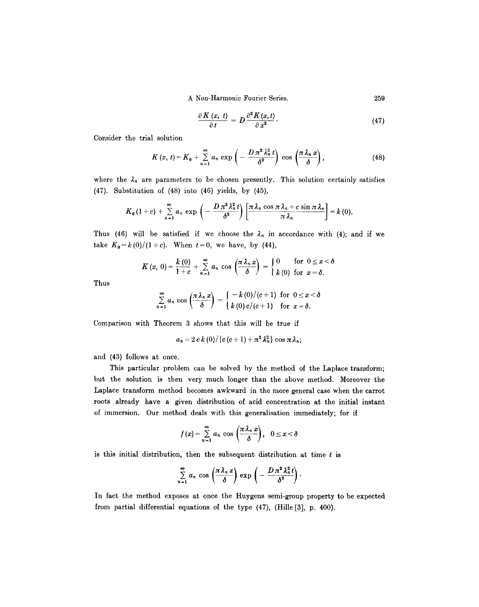A Non-Harmonic Fourier Series.

$$
\frac{\partial K(x,\,t)}{\partial\,t} = D\,\frac{\partial^2 K(x,t)}{\partial\,x^2}.\tag{47}
$$

Consider the trial solution

$$
K(x, t) = K_0 + \sum_{n=1}^{\infty} a_n \exp\left(-\frac{D\pi^2\lambda_n^2 t}{\delta^2}\right) \cos\left(\frac{\pi\lambda_n x}{\delta}\right),
$$
 (48)

where the  $\lambda_n$  are parameters to be chosen presently. This solution certainly satisfies (47). Substitution of (48) into (46) yields, by (45),

$$
K_0(1+c)+\sum_{n=1}^{\infty}a_n\,\exp\left(-\frac{D\,\pi^2\,\lambda_n^2\,t}{\delta^2}\right)\left[\frac{\pi\,\lambda_n\,\cos\,\pi\,\lambda_n+c\,\sin\,\pi\,\lambda_n}{\pi\,\lambda_n}\right]=k\,(0).
$$

Thus (46) will be satisfied if we choose the  $\lambda_n$  in accordance with (4); and if we take  $K_0 = k(0)/(1+c)$ . When  $t=0$ , we have, by (44),

$$
K(x, 0) = \frac{k(0)}{1+c} + \sum_{n=1}^{\infty} a_n \cos\left(\frac{\pi \lambda_n x}{\delta}\right) = \begin{cases} 0 & \text{for } 0 \leq x < \delta \\ k(0) & \text{for } x = \delta. \end{cases}
$$

Thus

$$
\sum_{n=1}^{\infty} a_n \cos\left(\frac{\pi \lambda_n x}{\delta}\right) = \begin{cases} -k(0)/(c+1) & \text{for } 0 \leq x < \delta \\ k(0) c/(c+1) & \text{for } x = \delta. \end{cases}
$$

Comparison with Theorem 3 shows that this will be true if

$$
a_n=2 c k (0)/\left(c (c+1)+\pi^2 \lambda_n^2\right) \cos \pi \lambda_n;
$$

and (43) follows at once.

This particular problem can be solved by the method of the Laplace transform; but the solution is then very much longer than the above method. Moreover the Laplace transform method becomes awkward in the more general case when the carrot roots already have a given distribution of acid concentration at the initial instant of immersion. Our method deals with this generalisation immediately; for if

$$
f(x)=\sum_{n=1}^{\infty}a_n\,\cos\left(\frac{\pi\,\lambda_n\,x}{\delta}\right),\quad 0\leq x<\delta
$$

is this initial distribution, then the subsequent distribution at time  $t$  is

$$
\sum_{n=1}^{\infty} a_n \cos \left( \frac{\pi \lambda_n x}{\delta} \right) \exp \left( - \frac{D \pi^2 \lambda_n^2 t}{\delta^2} \right).
$$

In fact the method exposes at once the Huygens semi-group property to be expected from partial differential equations of the type (47), (Hille [3], p. 400).

259